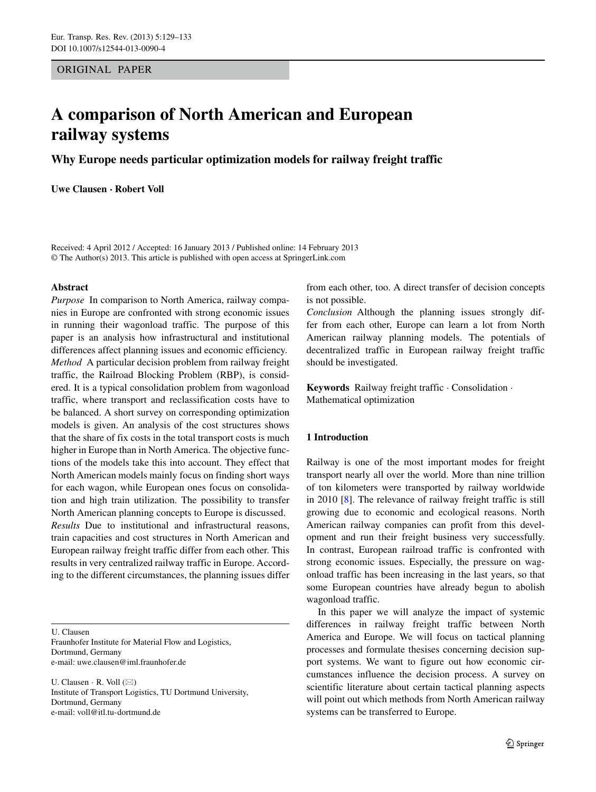# ORIGINAL PAPER

# **A comparison of North American and European railway systems**

**Why Europe needs particular optimization models for railway freight traffic**

**Uwe Clausen · Robert Voll**

Received: 4 April 2012 / Accepted: 16 January 2013 / Published online: 14 February 2013 © The Author(s) 2013. This article is published with open access at SpringerLink.com

## **Abstract**

*Purpose* In comparison to North America, railway companies in Europe are confronted with strong economic issues in running their wagonload traffic. The purpose of this paper is an analysis how infrastructural and institutional differences affect planning issues and economic efficiency. *Method* A particular decision problem from railway freight traffic, the Railroad Blocking Problem (RBP), is considered. It is a typical consolidation problem from wagonload traffic, where transport and reclassification costs have to be balanced. A short survey on corresponding optimization models is given. An analysis of the cost structures shows that the share of fix costs in the total transport costs is much higher in Europe than in North America. The objective functions of the models take this into account. They effect that North American models mainly focus on finding short ways for each wagon, while European ones focus on consolidation and high train utilization. The possibility to transfer North American planning concepts to Europe is discussed.

*Results* Due to institutional and infrastructural reasons, train capacities and cost structures in North American and European railway freight traffic differ from each other. This results in very centralized railway traffic in Europe. According to the different circumstances, the planning issues differ

U. Clausen

Fraunhofer Institute for Material Flow and Logistics, Dortmund, Germany e-mail: [uwe.clausen@iml.fraunhofer.de](mailto:uwe.clausen@iml.fraunhofer.de)

U. Clausen  $\cdot$  R. Voll ( $\boxtimes$ ) Institute of Transport Logistics, TU Dortmund University, Dortmund, Germany e-mail: [voll@itl.tu-dortmund.de](mailto:voll@itl.tu-dortmund.de)

from each other, too. A direct transfer of decision concepts is not possible.

*Conclusion* Although the planning issues strongly differ from each other, Europe can learn a lot from North American railway planning models. The potentials of decentralized traffic in European railway freight traffic should be investigated.

**Keywords** Railway freight traffic · Consolidation · Mathematical optimization

# **1 Introduction**

Railway is one of the most important modes for freight transport nearly all over the world. More than nine trillion of ton kilometers were transported by railway worldwide in 2010 [\[8\]](#page-3-0). The relevance of railway freight traffic is still growing due to economic and ecological reasons. North American railway companies can profit from this development and run their freight business very successfully. In contrast, European railroad traffic is confronted with strong economic issues. Especially, the pressure on wagonload traffic has been increasing in the last years, so that some European countries have already begun to abolish wagonload traffic.

In this paper we will analyze the impact of systemic differences in railway freight traffic between North America and Europe. We will focus on tactical planning processes and formulate thesises concerning decision support systems. We want to figure out how economic circumstances influence the decision process. A survey on scientific literature about certain tactical planning aspects will point out which methods from North American railway systems can be transferred to Europe.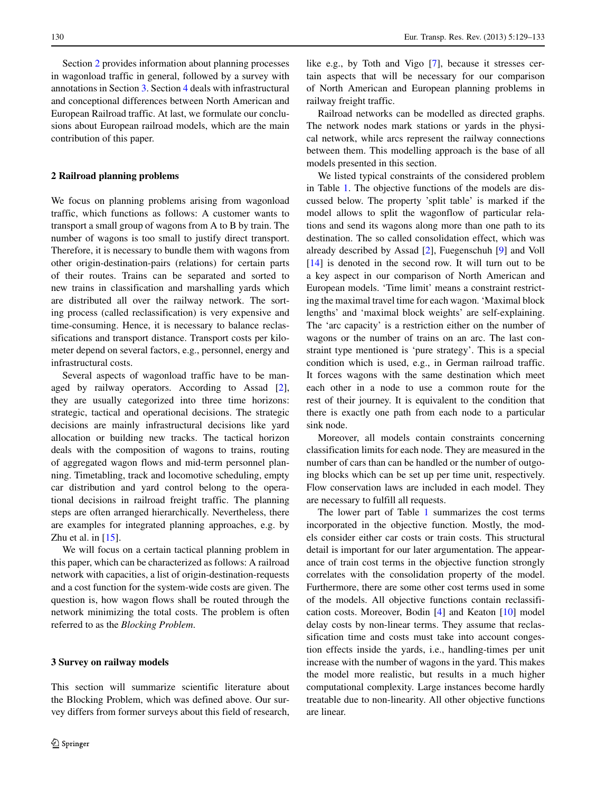Section [2](#page-1-0) provides information about planning processes in wagonload traffic in general, followed by a survey with annotations in Section [3.](#page-1-1) Section [4](#page-2-0) deals with infrastructural and conceptional differences between North American and European Railroad traffic. At last, we formulate our conclusions about European railroad models, which are the main contribution of this paper.

#### <span id="page-1-0"></span>**2 Railroad planning problems**

We focus on planning problems arising from wagonload traffic, which functions as follows: A customer wants to transport a small group of wagons from A to B by train. The number of wagons is too small to justify direct transport. Therefore, it is necessary to bundle them with wagons from other origin-destination-pairs (relations) for certain parts of their routes. Trains can be separated and sorted to new trains in classification and marshalling yards which are distributed all over the railway network. The sorting process (called reclassification) is very expensive and time-consuming. Hence, it is necessary to balance reclassifications and transport distance. Transport costs per kilometer depend on several factors, e.g., personnel, energy and infrastructural costs.

Several aspects of wagonload traffic have to be managed by railway operators. According to Assad [\[2\]](#page-3-1), they are usually categorized into three time horizons: strategic, tactical and operational decisions. The strategic decisions are mainly infrastructural decisions like yard allocation or building new tracks. The tactical horizon deals with the composition of wagons to trains, routing of aggregated wagon flows and mid-term personnel planning. Timetabling, track and locomotive scheduling, empty car distribution and yard control belong to the operational decisions in railroad freight traffic. The planning steps are often arranged hierarchically. Nevertheless, there are examples for integrated planning approaches, e.g. by Zhu et al. in  $[15]$ .

We will focus on a certain tactical planning problem in this paper, which can be characterized as follows: A railroad network with capacities, a list of origin-destination-requests and a cost function for the system-wide costs are given. The question is, how wagon flows shall be routed through the network minimizing the total costs. The problem is often referred to as the *Blocking Problem*.

#### <span id="page-1-1"></span>**3 Survey on railway models**

This section will summarize scientific literature about the Blocking Problem, which was defined above. Our survey differs from former surveys about this field of research, like e.g., by Toth and Vigo [\[7\]](#page-3-2), because it stresses certain aspects that will be necessary for our comparison of North American and European planning problems in railway freight traffic.

Railroad networks can be modelled as directed graphs. The network nodes mark stations or yards in the physical network, while arcs represent the railway connections between them. This modelling approach is the base of all models presented in this section.

We listed typical constraints of the considered problem in Table [1.](#page-2-1) The objective functions of the models are discussed below. The property 'split table' is marked if the model allows to split the wagonflow of particular relations and send its wagons along more than one path to its destination. The so called consolidation effect, which was already described by Assad [\[2\]](#page-3-1), Fuegenschuh [\[9\]](#page-3-3) and Voll [\[14\]](#page-4-1) is denoted in the second row. It will turn out to be a key aspect in our comparison of North American and European models. 'Time limit' means a constraint restricting the maximal travel time for each wagon. 'Maximal block lengths' and 'maximal block weights' are self-explaining. The 'arc capacity' is a restriction either on the number of wagons or the number of trains on an arc. The last constraint type mentioned is 'pure strategy'. This is a special condition which is used, e.g., in German railroad traffic. It forces wagons with the same destination which meet each other in a node to use a common route for the rest of their journey. It is equivalent to the condition that there is exactly one path from each node to a particular sink node.

Moreover, all models contain constraints concerning classification limits for each node. They are measured in the number of cars than can be handled or the number of outgoing blocks which can be set up per time unit, respectively. Flow conservation laws are included in each model. They are necessary to fulfill all requests.

The lower part of Table [1](#page-2-1) summarizes the cost terms incorporated in the objective function. Mostly, the models consider either car costs or train costs. This structural detail is important for our later argumentation. The appearance of train cost terms in the objective function strongly correlates with the consolidation property of the model. Furthermore, there are some other cost terms used in some of the models. All objective functions contain reclassification costs. Moreover, Bodin [\[4\]](#page-3-4) and Keaton [\[10\]](#page-4-2) model delay costs by non-linear terms. They assume that reclassification time and costs must take into account congestion effects inside the yards, i.e., handling-times per unit increase with the number of wagons in the yard. This makes the model more realistic, but results in a much higher computational complexity. Large instances become hardly treatable due to non-linearity. All other objective functions are linear.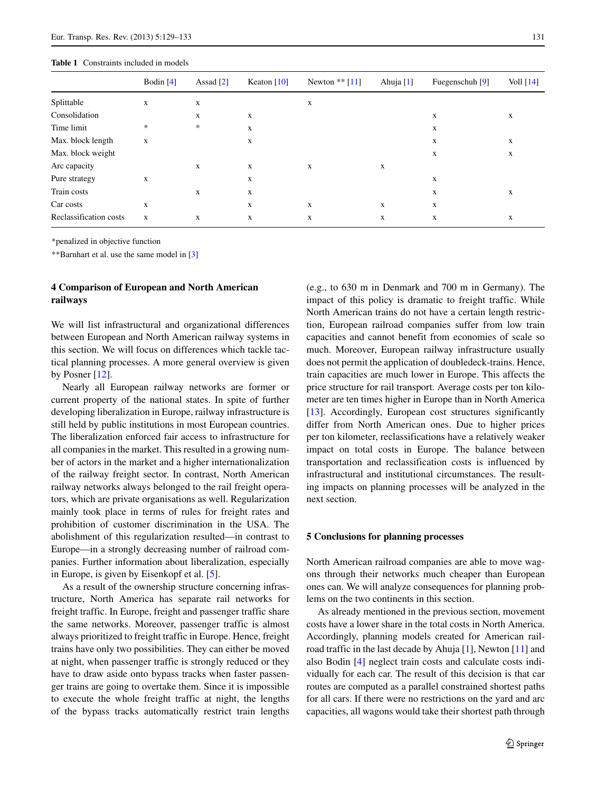#### <span id="page-2-1"></span>**Table 1** Constraints included in models

|                        | Bodin $[4]$ | Assad $[2]$ | Keaton $[10]$ | Newton $**$ [11] | Ahuja [1] | Fuegenschuh [9] | Voll [14] |
|------------------------|-------------|-------------|---------------|------------------|-----------|-----------------|-----------|
| Splittable             | Х           | X           |               | X                |           |                 |           |
| Consolidation          |             | X           | X             |                  |           | X               | X         |
| Time limit             | $\ast$      | *           | X             |                  |           | X               |           |
| Max. block length      | $\mathbf X$ |             | X             |                  |           | X               | X         |
| Max. block weight      |             |             |               |                  |           | X               | X         |
| Arc capacity           |             | X           | X             | X                | X         |                 |           |
| Pure strategy          | $\mathbf X$ |             | X             |                  |           | X               |           |
| Train costs            |             | X           | X             |                  |           | X               | X         |
| Car costs              | $\mathbf X$ |             | X             | X                | X         | X               |           |
| Reclassification costs | $\mathbf X$ | X           | X             | X                | X         | X               | X         |

\*penalized in objective function

\*\*Barnhart et al. use the same model in [\[3\]](#page-3-6)

# <span id="page-2-0"></span>**4 Comparison of European and North American railways**

We will list infrastructural and organizational differences between European and North American railway systems in this section. We will focus on differences which tackle tactical planning processes. A more general overview is given by Posner [\[12\]](#page-4-4).

Nearly all European railway networks are former or current property of the national states. In spite of further developing liberalization in Europe, railway infrastructure is still held by public institutions in most European countries. The liberalization enforced fair access to infrastructure for all companies in the market. This resulted in a growing number of actors in the market and a higher internationalization of the railway freight sector. In contrast, North American railway networks always belonged to the rail freight operators, which are private organisations as well. Regularization mainly took place in terms of rules for freight rates and prohibition of customer discrimination in the USA. The abolishment of this regularization resulted—in contrast to Europe—in a strongly decreasing number of railroad companies. Further information about liberalization, especially in Europe, is given by Eisenkopf et al. [\[5\]](#page-3-7).

As a result of the ownership structure concerning infrastructure, North America has separate rail networks for freight traffic. In Europe, freight and passenger traffic share the same networks. Moreover, passenger traffic is almost always prioritized to freight traffic in Europe. Hence, freight trains have only two possibilities. They can either be moved at night, when passenger traffic is strongly reduced or they have to draw aside onto bypass tracks when faster passenger trains are going to overtake them. Since it is impossible to execute the whole freight traffic at night, the lengths of the bypass tracks automatically restrict train lengths (e.g., to 630 m in Denmark and 700 m in Germany). The impact of this policy is dramatic to freight traffic. While North American trains do not have a certain length restriction, European railroad companies suffer from low train capacities and cannot benefit from economies of scale so much. Moreover, European railway infrastructure usually does not permit the application of doubledeck-trains. Hence, train capacities are much lower in Europe. This affects the price structure for rail transport. Average costs per ton kilometer are ten times higher in Europe than in North America [\[13\]](#page-4-5). Accordingly, European cost structures significantly differ from North American ones. Due to higher prices per ton kilometer, reclassifications have a relatively weaker impact on total costs in Europe. The balance between transportation and reclassification costs is influenced by infrastructural and institutional circumstances. The resulting impacts on planning processes will be analyzed in the next section.

### **5 Conclusions for planning processes**

North American railroad companies are able to move wagons through their networks much cheaper than European ones can. We will analyze consequences for planning problems on the two continents in this section.

As already mentioned in the previous section, movement costs have a lower share in the total costs in North America. Accordingly, planning models created for American railroad traffic in the last decade by Ahuja [\[1\]](#page-3-5), Newton [\[11\]](#page-4-3) and also Bodin [\[4\]](#page-3-4) neglect train costs and calculate costs individually for each car. The result of this decision is that car routes are computed as a parallel constrained shortest paths for all cars. If there were no restrictions on the yard and arc capacities, all wagons would take their shortest path through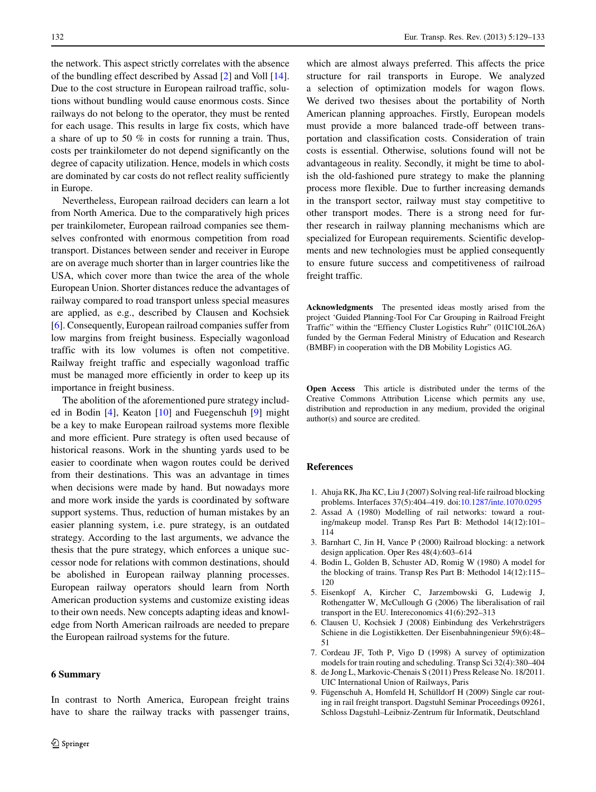the network. This aspect strictly correlates with the absence of the bundling effect described by Assad [\[2\]](#page-3-1) and Voll [\[14\]](#page-4-1). Due to the cost structure in European railroad traffic, solutions without bundling would cause enormous costs. Since railways do not belong to the operator, they must be rented for each usage. This results in large fix costs, which have a share of up to 50 % in costs for running a train. Thus, costs per trainkilometer do not depend significantly on the degree of capacity utilization. Hence, models in which costs are dominated by car costs do not reflect reality sufficiently in Europe.

Nevertheless, European railroad deciders can learn a lot from North America. Due to the comparatively high prices per trainkilometer, European railroad companies see themselves confronted with enormous competition from road transport. Distances between sender and receiver in Europe are on average much shorter than in larger countries like the USA, which cover more than twice the area of the whole European Union. Shorter distances reduce the advantages of railway compared to road transport unless special measures are applied, as e.g., described by Clausen and Kochsiek [\[6\]](#page-3-8). Consequently, European railroad companies suffer from low margins from freight business. Especially wagonload traffic with its low volumes is often not competitive. Railway freight traffic and especially wagonload traffic must be managed more efficiently in order to keep up its importance in freight business.

The abolition of the aforementioned pure strategy included in Bodin [\[4\]](#page-3-4), Keaton [\[10\]](#page-4-2) and Fuegenschuh [\[9\]](#page-3-3) might be a key to make European railroad systems more flexible and more efficient. Pure strategy is often used because of historical reasons. Work in the shunting yards used to be easier to coordinate when wagon routes could be derived from their destinations. This was an advantage in times when decisions were made by hand. But nowadays more and more work inside the yards is coordinated by software support systems. Thus, reduction of human mistakes by an easier planning system, i.e. pure strategy, is an outdated strategy. According to the last arguments, we advance the thesis that the pure strategy, which enforces a unique successor node for relations with common destinations, should be abolished in European railway planning processes. European railway operators should learn from North American production systems and customize existing ideas to their own needs. New concepts adapting ideas and knowledge from North American railroads are needed to prepare the European railroad systems for the future.

## **6 Summary**

In contrast to North America, European freight trains have to share the railway tracks with passenger trains,

which are almost always preferred. This affects the price structure for rail transports in Europe. We analyzed a selection of optimization models for wagon flows. We derived two thesises about the portability of North American planning approaches. Firstly, European models must provide a more balanced trade-off between transportation and classification costs. Consideration of train costs is essential. Otherwise, solutions found will not be advantageous in reality. Secondly, it might be time to abolish the old-fashioned pure strategy to make the planning process more flexible. Due to further increasing demands in the transport sector, railway must stay competitive to other transport modes. There is a strong need for further research in railway planning mechanisms which are specialized for European requirements. Scientific developments and new technologies must be applied consequently to ensure future success and competitiveness of railroad freight traffic.

**Acknowledgments** The presented ideas mostly arised from the project 'Guided Planning-Tool For Car Grouping in Railroad Freight Traffic" within the "Effiency Cluster Logistics Ruhr" (01IC10L26A) funded by the German Federal Ministry of Education and Research (BMBF) in cooperation with the DB Mobility Logistics AG.

**Open Access** This article is distributed under the terms of the Creative Commons Attribution License which permits any use, distribution and reproduction in any medium, provided the original author(s) and source are credited.

## **References**

- <span id="page-3-5"></span>1. Ahuja RK, Jha KC, Liu J (2007) Solving real-life railroad blocking problems. Interfaces 37(5):404–419. doi[:10.1287/inte.1070.0295](http://dx.doi.org/10.1287/inte.1070.0295)
- <span id="page-3-1"></span>2. Assad A (1980) Modelling of rail networks: toward a routing/makeup model. Transp Res Part B: Methodol 14(12):101– 114
- <span id="page-3-6"></span>3. Barnhart C, Jin H, Vance P (2000) Railroad blocking: a network design application. Oper Res 48(4):603–614
- <span id="page-3-4"></span>4. Bodin L, Golden B, Schuster AD, Romig W (1980) A model for the blocking of trains. Transp Res Part B: Methodol 14(12):115– 120
- <span id="page-3-7"></span>5. Eisenkopf A, Kircher C, Jarzembowski G, Ludewig J, Rothengatter W, McCullough G (2006) The liberalisation of rail transport in the EU. Intereconomics 41(6):292–313
- <span id="page-3-8"></span>6. Clausen U, Kochsiek J (2008) Einbindung des Verkehrsträgers Schiene in die Logistikketten. Der Eisenbahningenieur 59(6):48– 51
- <span id="page-3-2"></span>7. Cordeau JF, Toth P, Vigo D (1998) A survey of optimization models for train routing and scheduling. Transp Sci 32(4):380–404
- <span id="page-3-0"></span>8. de Jong L, Markovic-Chenais S (2011) Press Release No. 18/2011. UIC International Union of Railways, Paris
- <span id="page-3-3"></span>9. Fügenschuh A, Homfeld H, Schülldorf H (2009) Single car routing in rail freight transport. Dagstuhl Seminar Proceedings 09261, Schloss Dagstuhl–Leibniz-Zentrum für Informatik, Deutschland